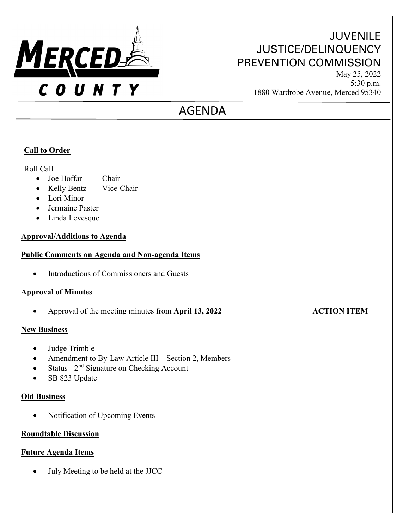

## **JUVENILE** JUSTICE/DELINQUENCY PREVENTION COMMISSION

May 25, 2022 5:30 p.m. 1880 Wardrobe Avenue, Merced 95340

# AGENDA

### **Call to Order**

Roll Call

- Joe Hoffar Chair
- Kelly Bentz Vice-Chair
- Lori Minor
- Jermaine Paster
- Linda Levesque

#### **Approval/Additions to Agenda**

#### **Public Comments on Agenda and Non-agenda Items**

• Introductions of Commissioners and Guests

### **Approval of Minutes**

• Approval of the meeting minutes from **April 13, 2022 ACTION ITEM**

#### **New Business**

- Judge Trimble
- Amendment to By-Law Article III Section 2, Members
- Status 2<sup>nd</sup> Signature on Checking Account
- SB 823 Update

### **Old Business**

• Notification of Upcoming Events

#### **Roundtable Discussion**

#### **Future Agenda Items**

• July Meeting to be held at the JJCC